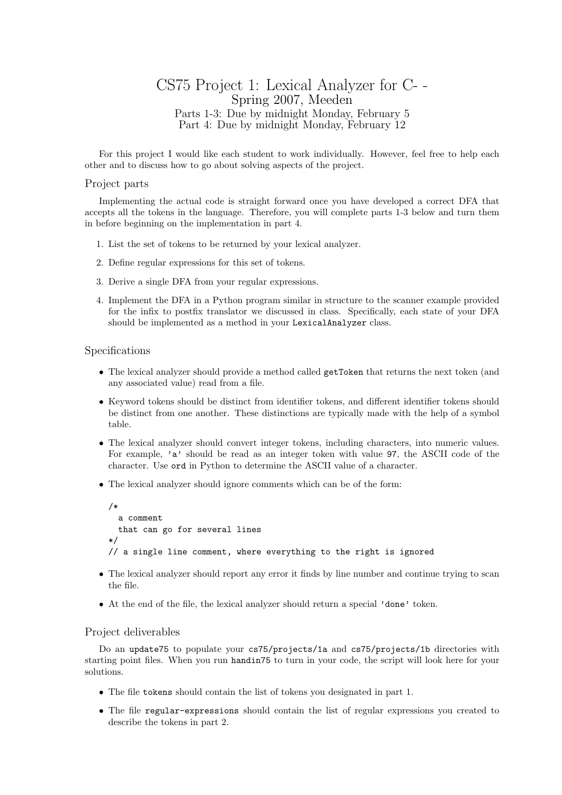## CS75 Project 1: Lexical Analyzer for C- - Spring 2007, Meeden Parts 1-3: Due by midnight Monday, February 5 Part 4: Due by midnight Monday, February 12

For this project I would like each student to work individually. However, feel free to help each other and to discuss how to go about solving aspects of the project.

## Project parts

Implementing the actual code is straight forward once you have developed a correct DFA that accepts all the tokens in the language. Therefore, you will complete parts 1-3 below and turn them in before beginning on the implementation in part 4.

- 1. List the set of tokens to be returned by your lexical analyzer.
- 2. Define regular expressions for this set of tokens.
- 3. Derive a single DFA from your regular expressions.
- 4. Implement the DFA in a Python program similar in structure to the scanner example provided for the infix to postfix translator we discussed in class. Specifically, each state of your DFA should be implemented as a method in your LexicalAnalyzer class.

## Specifications

- The lexical analyzer should provide a method called getToken that returns the next token (and any associated value) read from a file.
- Keyword tokens should be distinct from identifier tokens, and different identifier tokens should be distinct from one another. These distinctions are typically made with the help of a symbol table.
- The lexical analyzer should convert integer tokens, including characters, into numeric values. For example, 'a' should be read as an integer token with value 97, the ASCII code of the character. Use ord in Python to determine the ASCII value of a character.
- The lexical analyzer should ignore comments which can be of the form:

```
/*
  a comment
 that can go for several lines
*/
// a single line comment, where everything to the right is ignored
```
- The lexical analyzer should report any error it finds by line number and continue trying to scan the file.
- At the end of the file, the lexical analyzer should return a special 'done' token.

## Project deliverables

Do an update75 to populate your cs75/projects/1a and cs75/projects/1b directories with starting point files. When you run handin75 to turn in your code, the script will look here for your solutions.

- The file tokens should contain the list of tokens you designated in part 1.
- The file regular-expressions should contain the list of regular expressions you created to describe the tokens in part 2.